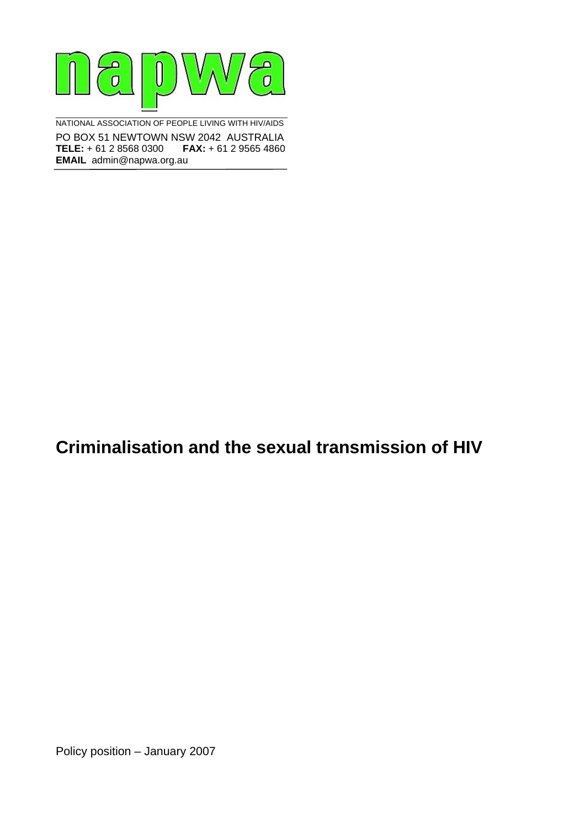

NATIONAL ASSOCIATION OF PEOPLE LIVING WITH HIV/AIDS PO BOX 51 NEWTOWN NSW 2042 AUSTRALIA **TELE:** + 61 2 8568 0300 **FAX:** + 61 2 9565 4860 **EMAIL** admin@napwa.org.au

## **Criminalisation and the sexual transmission of HIV**

Policy position – January 2007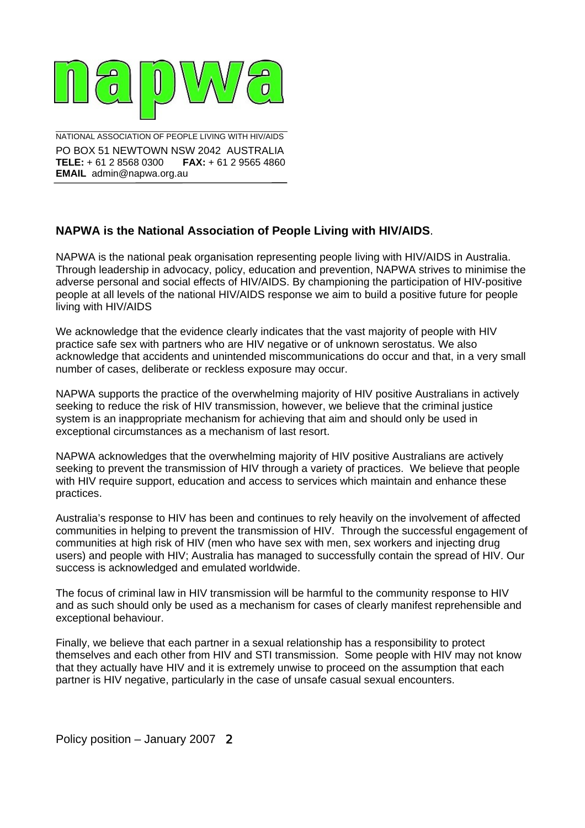

NATIONAL ASSOCIATION OF PEOPLE LIVING WITH HIV/AIDS PO BOX 51 NEWTOWN NSW 2042 AUSTRALIA **TELE:** + 61 2 8568 0300 **FAX:** + 61 2 9565 4860 **EMAIL** admin@napwa.org.au

\_\_\_\_\_\_\_\_\_\_\_\_\_\_\_\_\_\_\_\_\_\_\_\_\_\_\_\_\_\_\_\_\_\_\_\_\_\_\_\_\_\_\_\_\_\_\_\_\_\_\_\_\_

## **NAPWA is the National Association of People Living with HIV/AIDS**.

NAPWA is the national peak organisation representing people living with HIV/AIDS in Australia. Through leadership in advocacy, policy, education and prevention, NAPWA strives to minimise the adverse personal and social effects of HIV/AIDS. By championing the participation of HIV-positive people at all levels of the national HIV/AIDS response we aim to build a positive future for people living with HIV/AIDS

We acknowledge that the evidence clearly indicates that the vast majority of people with HIV practice safe sex with partners who are HIV negative or of unknown serostatus. We also acknowledge that accidents and unintended miscommunications do occur and that, in a very small number of cases, deliberate or reckless exposure may occur.

NAPWA supports the practice of the overwhelming majority of HIV positive Australians in actively seeking to reduce the risk of HIV transmission, however, we believe that the criminal justice system is an inappropriate mechanism for achieving that aim and should only be used in exceptional circumstances as a mechanism of last resort.

NAPWA acknowledges that the overwhelming majority of HIV positive Australians are actively seeking to prevent the transmission of HIV through a variety of practices. We believe that people with HIV require support, education and access to services which maintain and enhance these practices.

Australia's response to HIV has been and continues to rely heavily on the involvement of affected communities in helping to prevent the transmission of HIV. Through the successful engagement of communities at high risk of HIV (men who have sex with men, sex workers and injecting drug users) and people with HIV; Australia has managed to successfully contain the spread of HIV. Our success is acknowledged and emulated worldwide.

The focus of criminal law in HIV transmission will be harmful to the community response to HIV and as such should only be used as a mechanism for cases of clearly manifest reprehensible and exceptional behaviour.

Finally, we believe that each partner in a sexual relationship has a responsibility to protect themselves and each other from HIV and STI transmission. Some people with HIV may not know that they actually have HIV and it is extremely unwise to proceed on the assumption that each partner is HIV negative, particularly in the case of unsafe casual sexual encounters.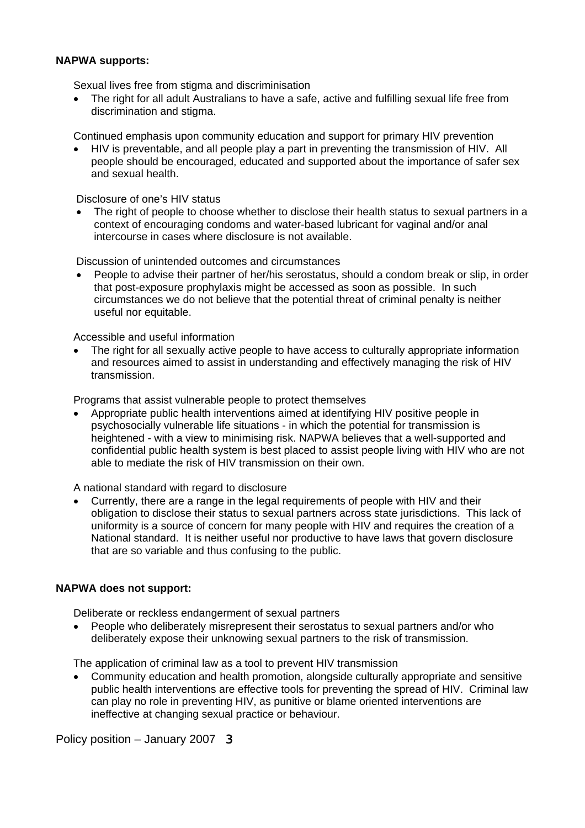## **NAPWA supports:**

Sexual lives free from stigma and discriminisation

• The right for all adult Australians to have a safe, active and fulfilling sexual life free from discrimination and stigma.

Continued emphasis upon community education and support for primary HIV prevention

• HIV is preventable, and all people play a part in preventing the transmission of HIV. All people should be encouraged, educated and supported about the importance of safer sex and sexual health.

Disclosure of one's HIV status

The right of people to choose whether to disclose their health status to sexual partners in a context of encouraging condoms and water-based lubricant for vaginal and/or anal intercourse in cases where disclosure is not available.

Discussion of unintended outcomes and circumstances

• People to advise their partner of her/his serostatus, should a condom break or slip, in order that post-exposure prophylaxis might be accessed as soon as possible. In such circumstances we do not believe that the potential threat of criminal penalty is neither useful nor equitable.

Accessible and useful information

• The right for all sexually active people to have access to culturally appropriate information and resources aimed to assist in understanding and effectively managing the risk of HIV transmission.

Programs that assist vulnerable people to protect themselves

• Appropriate public health interventions aimed at identifying HIV positive people in psychosocially vulnerable life situations - in which the potential for transmission is heightened - with a view to minimising risk. NAPWA believes that a well-supported and confidential public health system is best placed to assist people living with HIV who are not able to mediate the risk of HIV transmission on their own.

A national standard with regard to disclosure

• Currently, there are a range in the legal requirements of people with HIV and their obligation to disclose their status to sexual partners across state jurisdictions. This lack of uniformity is a source of concern for many people with HIV and requires the creation of a National standard. It is neither useful nor productive to have laws that govern disclosure that are so variable and thus confusing to the public.

## **NAPWA does not support:**

Deliberate or reckless endangerment of sexual partners

• People who deliberately misrepresent their serostatus to sexual partners and/or who deliberately expose their unknowing sexual partners to the risk of transmission.

The application of criminal law as a tool to prevent HIV transmission

• Community education and health promotion, alongside culturally appropriate and sensitive public health interventions are effective tools for preventing the spread of HIV. Criminal law can play no role in preventing HIV, as punitive or blame oriented interventions are ineffective at changing sexual practice or behaviour.

Policy position – January 2007 3